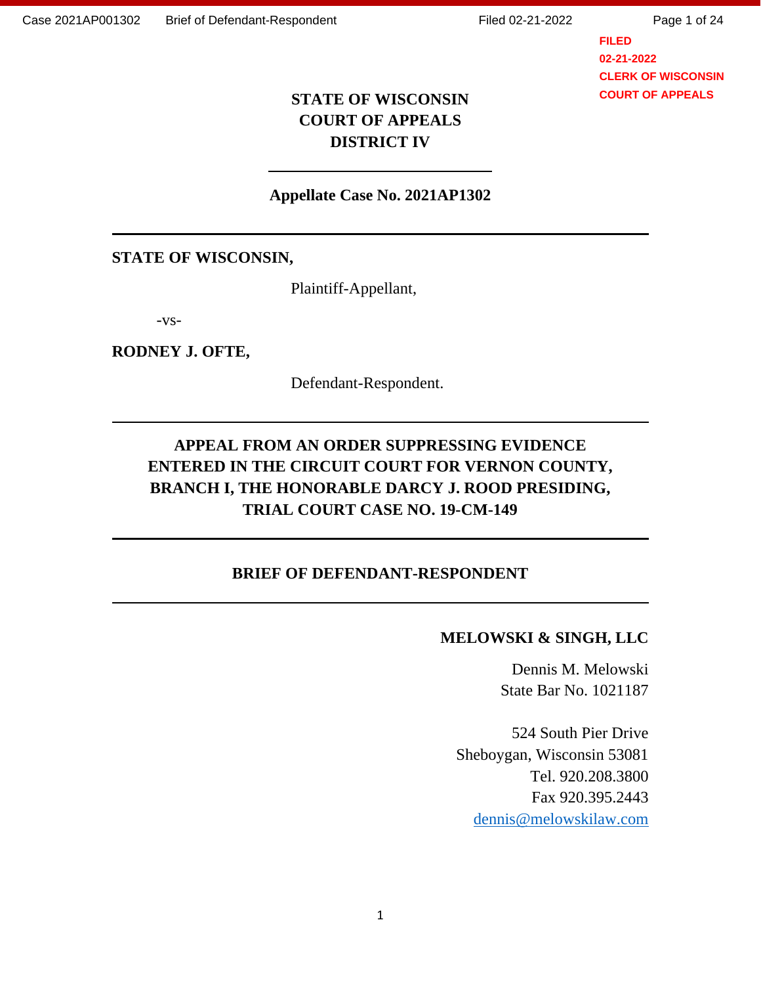Page 1 of 24

**FILED 02-21-2022 CLERK OF WISCONSIN COURT OF APPEALS**

# **STATE OF WISCONSIN COURT OF APPEALS DISTRICT IV**

### **Appellate Case No. 2021AP1302**

### **STATE OF WISCONSIN,**

Plaintiff-Appellant,

-vs-

#### **RODNEY J. OFTE,**

Defendant-Respondent.

# **APPEAL FROM AN ORDER SUPPRESSING EVIDENCE ENTERED IN THE CIRCUIT COURT FOR VERNON COUNTY, BRANCH I, THE HONORABLE DARCY J. ROOD PRESIDING, TRIAL COURT CASE NO. 19-CM-149**

### **BRIEF OF DEFENDANT-RESPONDENT**

### **MELOWSKI & SINGH, LLC**

Dennis M. Melowski State Bar No. 1021187

524 South Pier Drive Sheboygan, Wisconsin 53081 Tel. 920.208.3800 Fax 920.395.2443 [dennis@melowskilaw.com](mailto:dennis@melowskilaw.com)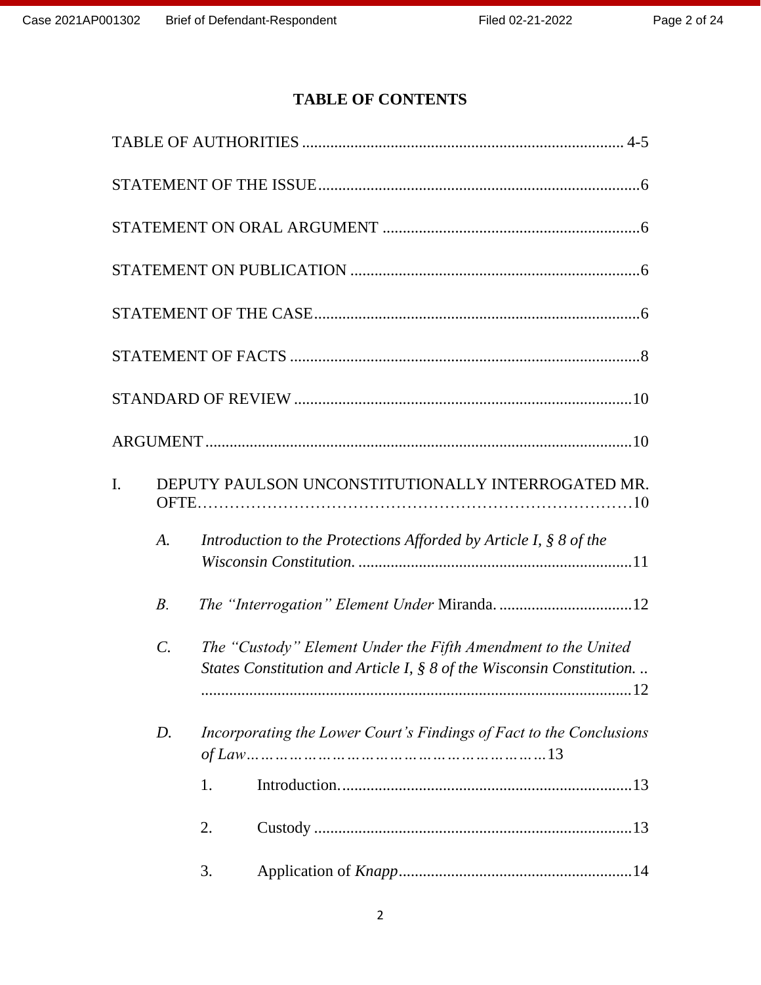# **TABLE OF CONTENTS**

| I. |                 | DEPUTY PAULSON UNCONSTITUTIONALLY INTERROGATED MR.                                                                                       |
|----|-----------------|------------------------------------------------------------------------------------------------------------------------------------------|
|    | A.              | Introduction to the Protections Afforded by Article I, § 8 of the                                                                        |
|    | $B$ .           |                                                                                                                                          |
|    | $\mathcal{C}$ . | The "Custody" Element Under the Fifth Amendment to the United<br>States Constitution and Article I, $\S 8$ of the Wisconsin Constitution |
|    | D.              | Incorporating the Lower Court's Findings of Fact to the Conclusions                                                                      |
|    |                 | 1.                                                                                                                                       |
|    |                 | 2.                                                                                                                                       |
|    |                 | 3.                                                                                                                                       |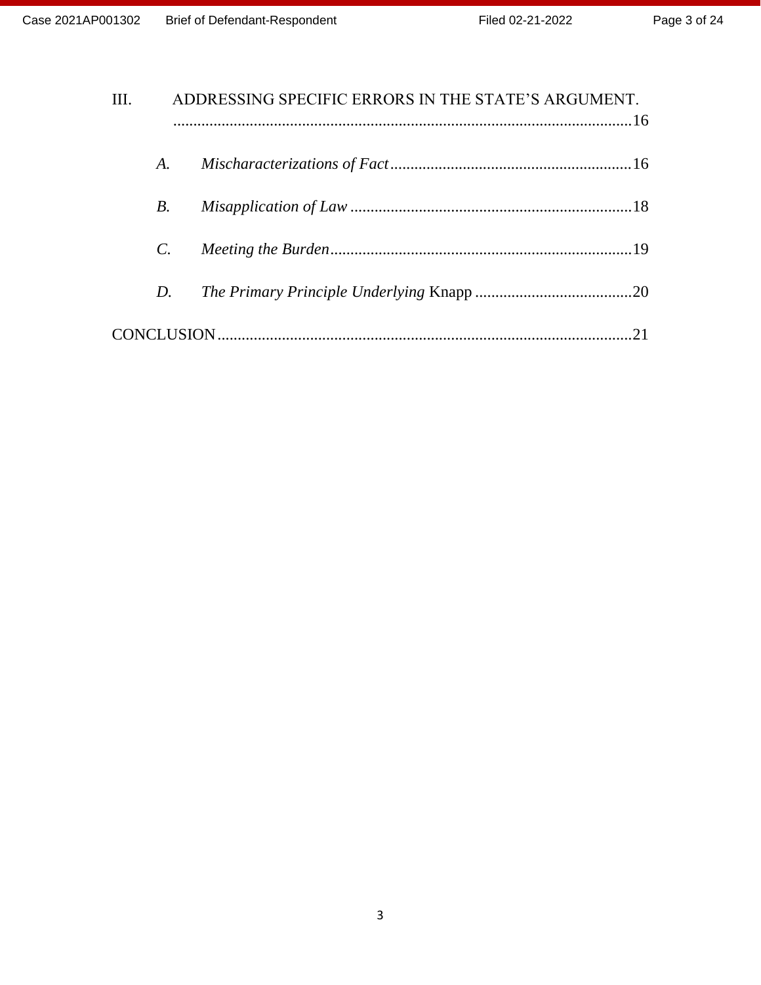| III. | ADDRESSING SPECIFIC ERRORS IN THE STATE'S ARGUMENT. |    |  |
|------|-----------------------------------------------------|----|--|
|      | A.                                                  |    |  |
|      | $B_{\cdot}$                                         |    |  |
|      | $C_{\cdot}$                                         |    |  |
|      | D.                                                  |    |  |
|      |                                                     | 21 |  |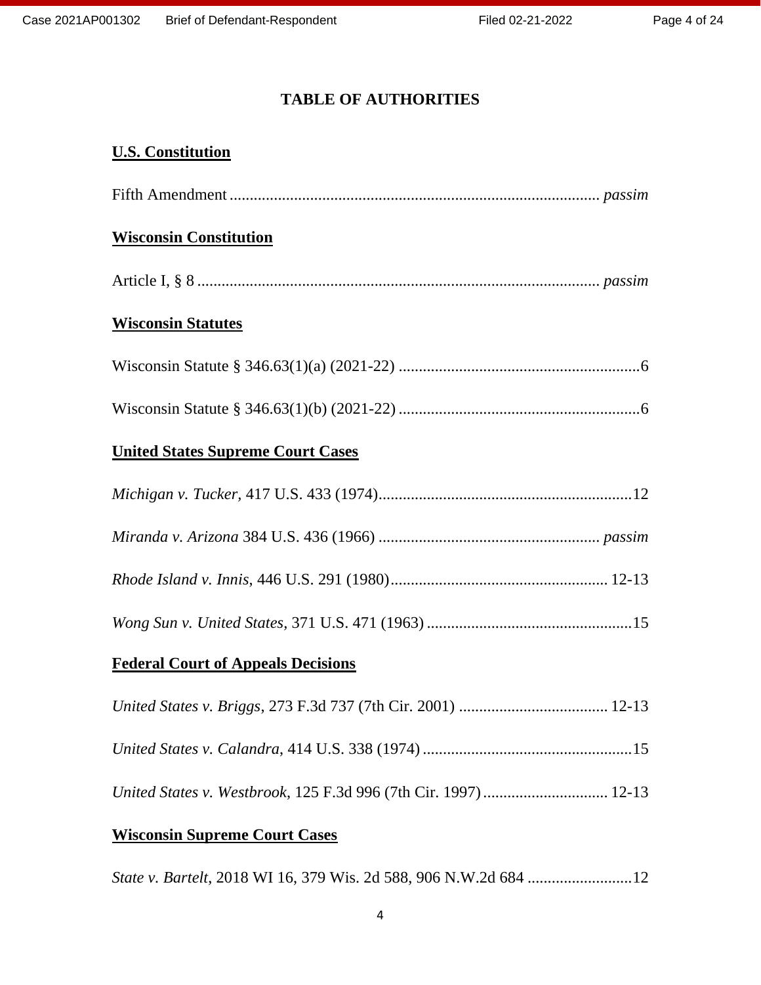# **TABLE OF AUTHORITIES**

# **U.S. Constitution**

| <b>Wisconsin Constitution</b>                                   |
|-----------------------------------------------------------------|
|                                                                 |
| <b>Wisconsin Statutes</b>                                       |
|                                                                 |
|                                                                 |
| <b>United States Supreme Court Cases</b>                        |
|                                                                 |
|                                                                 |
|                                                                 |
|                                                                 |
| <b>Federal Court of Appeals Decisions</b>                       |
|                                                                 |
|                                                                 |
| United States v. Westbrook, 125 F.3d 996 (7th Cir. 1997)  12-13 |
| <b>Wisconsin Supreme Court Cases</b>                            |

*State v. Bartelt*, 2018 WI 16, 379 Wis. 2d 588, 906 N.W.2d 684 ..........................12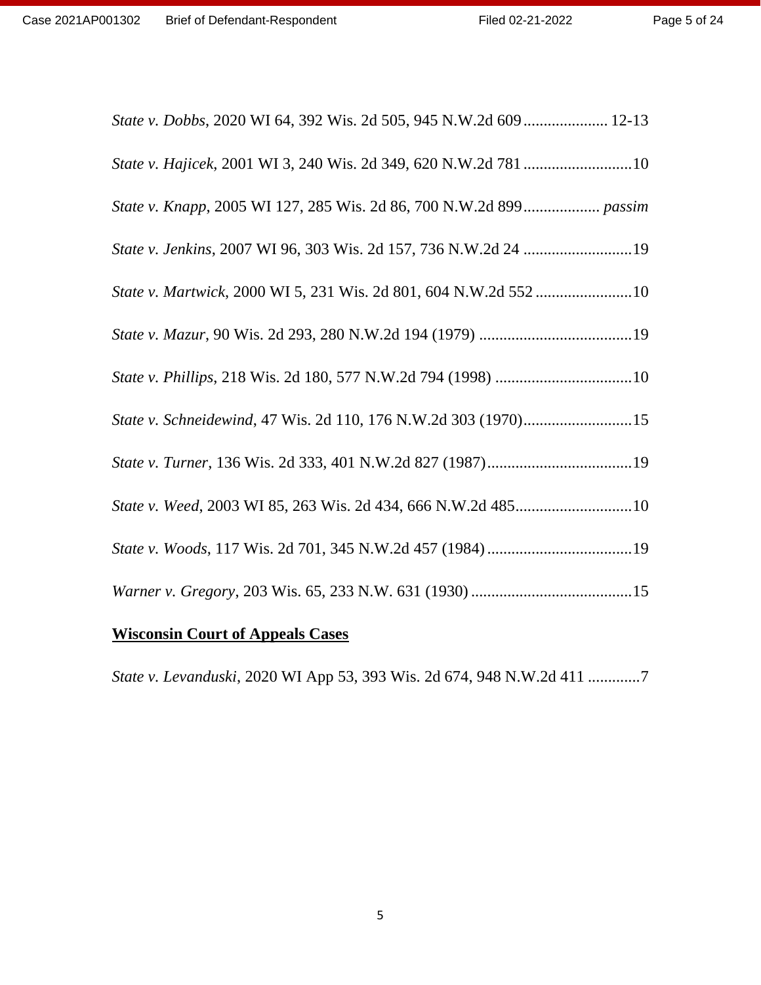| State v. Dobbs, 2020 WI 64, 392 Wis. 2d 505, 945 N.W.2d 609 12-13  |
|--------------------------------------------------------------------|
|                                                                    |
| State v. Knapp, 2005 WI 127, 285 Wis. 2d 86, 700 N.W.2d 899 passim |
|                                                                    |
| State v. Martwick, 2000 WI 5, 231 Wis. 2d 801, 604 N.W.2d 552 10   |
|                                                                    |
|                                                                    |
| State v. Schneidewind, 47 Wis. 2d 110, 176 N.W.2d 303 (1970)15     |
|                                                                    |
|                                                                    |
|                                                                    |
|                                                                    |
|                                                                    |

# **Wisconsin Court of Appeals Cases**

*State v. Levanduski*, 2020 WI App 53, 393 Wis. 2d 674, 948 N.W.2d 411 .............7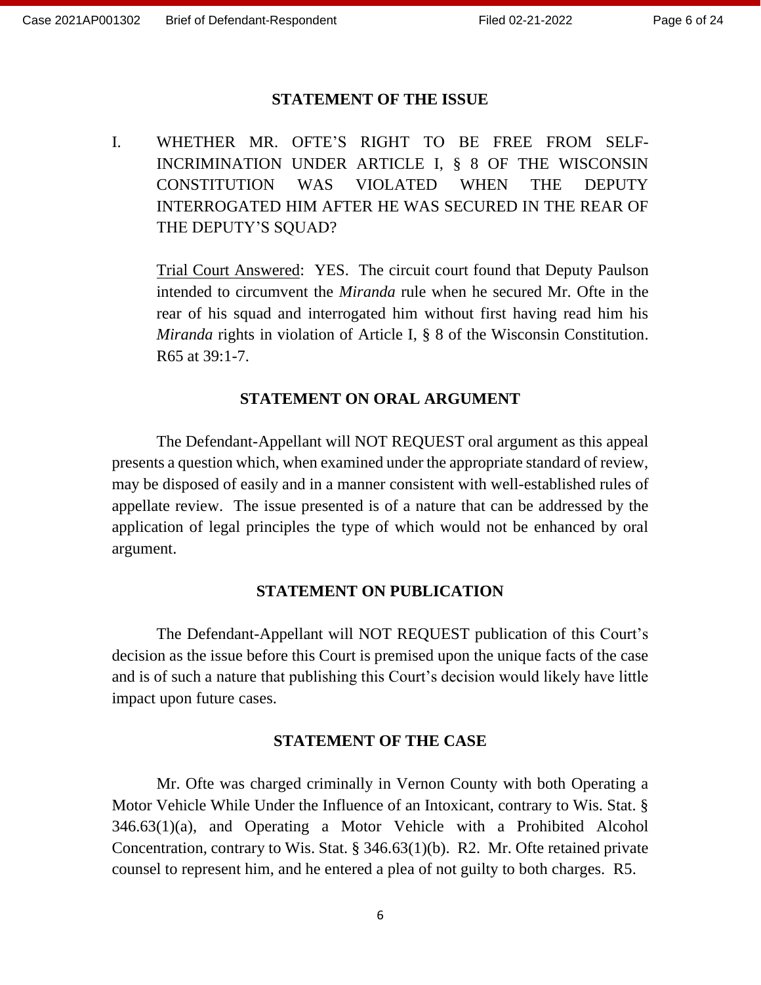#### **STATEMENT OF THE ISSUE**

I. WHETHER MR. OFTE'S RIGHT TO BE FREE FROM SELF-INCRIMINATION UNDER ARTICLE I, § 8 OF THE WISCONSIN CONSTITUTION WAS VIOLATED WHEN THE DEPUTY INTERROGATED HIM AFTER HE WAS SECURED IN THE REAR OF THE DEPUTY'S SQUAD?

Trial Court Answered: YES. The circuit court found that Deputy Paulson intended to circumvent the *Miranda* rule when he secured Mr. Ofte in the rear of his squad and interrogated him without first having read him his *Miranda* rights in violation of Article I, § 8 of the Wisconsin Constitution. R65 at 39:1-7.

### **STATEMENT ON ORAL ARGUMENT**

The Defendant-Appellant will NOT REQUEST oral argument as this appeal presents a question which, when examined under the appropriate standard of review, may be disposed of easily and in a manner consistent with well-established rules of appellate review. The issue presented is of a nature that can be addressed by the application of legal principles the type of which would not be enhanced by oral argument.

#### **STATEMENT ON PUBLICATION**

The Defendant-Appellant will NOT REQUEST publication of this Court's decision as the issue before this Court is premised upon the unique facts of the case and is of such a nature that publishing this Court's decision would likely have little impact upon future cases.

#### **STATEMENT OF THE CASE**

Mr. Ofte was charged criminally in Vernon County with both Operating a Motor Vehicle While Under the Influence of an Intoxicant, contrary to Wis. Stat. § 346.63(1)(a), and Operating a Motor Vehicle with a Prohibited Alcohol Concentration, contrary to Wis. Stat. § 346.63(1)(b). R2. Mr. Ofte retained private counsel to represent him, and he entered a plea of not guilty to both charges. R5.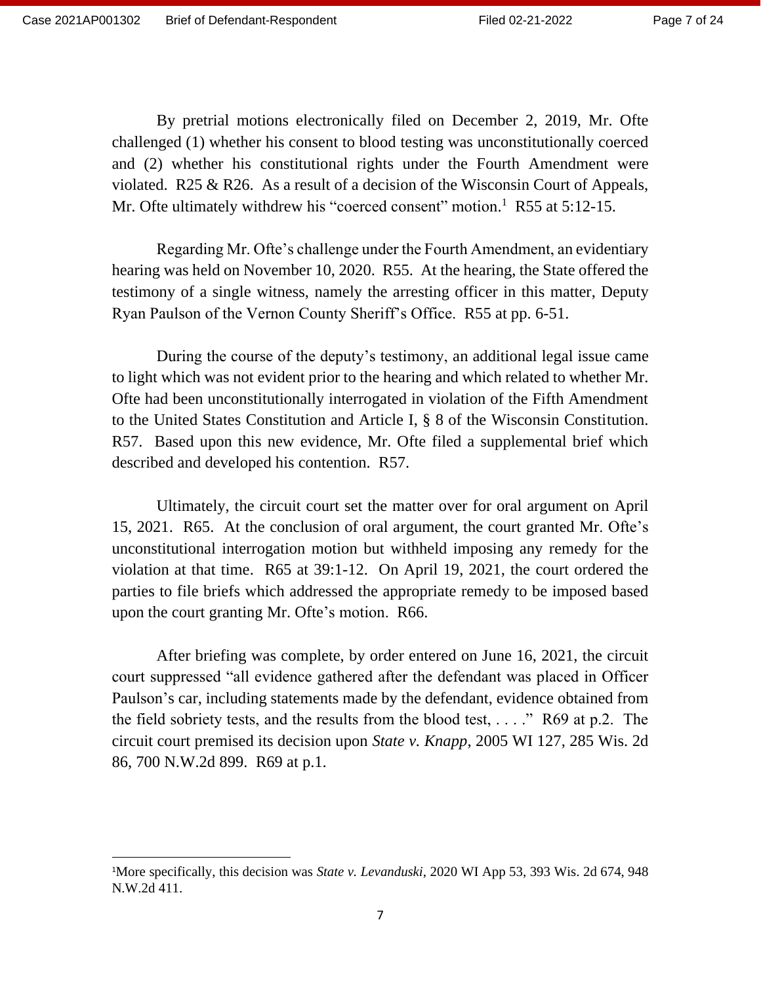By pretrial motions electronically filed on December 2, 2019, Mr. Ofte challenged (1) whether his consent to blood testing was unconstitutionally coerced and (2) whether his constitutional rights under the Fourth Amendment were violated. R25 & R26. As a result of a decision of the Wisconsin Court of Appeals, Mr. Ofte ultimately withdrew his "coerced consent" motion.<sup>1</sup> R55 at 5:12-15.

Regarding Mr. Ofte's challenge under the Fourth Amendment, an evidentiary hearing was held on November 10, 2020. R55. At the hearing, the State offered the testimony of a single witness, namely the arresting officer in this matter, Deputy Ryan Paulson of the Vernon County Sheriff's Office. R55 at pp. 6-51.

During the course of the deputy's testimony, an additional legal issue came to light which was not evident prior to the hearing and which related to whether Mr. Ofte had been unconstitutionally interrogated in violation of the Fifth Amendment to the United States Constitution and Article I, § 8 of the Wisconsin Constitution. R57. Based upon this new evidence, Mr. Ofte filed a supplemental brief which described and developed his contention. R57.

Ultimately, the circuit court set the matter over for oral argument on April 15, 2021. R65. At the conclusion of oral argument, the court granted Mr. Ofte's unconstitutional interrogation motion but withheld imposing any remedy for the violation at that time. R65 at 39:1-12. On April 19, 2021, the court ordered the parties to file briefs which addressed the appropriate remedy to be imposed based upon the court granting Mr. Ofte's motion. R66.

After briefing was complete, by order entered on June 16, 2021, the circuit court suppressed "all evidence gathered after the defendant was placed in Officer Paulson's car, including statements made by the defendant, evidence obtained from the field sobriety tests, and the results from the blood test,  $\dots$ ." R69 at p.2. The circuit court premised its decision upon *State v. Knapp*, 2005 WI 127, 285 Wis. 2d 86, 700 N.W.2d 899. R69 at p.1.

<sup>1</sup>More specifically, this decision was *State v. Levanduski*, 2020 WI App 53, 393 Wis. 2d 674, 948 N.W.2d 411.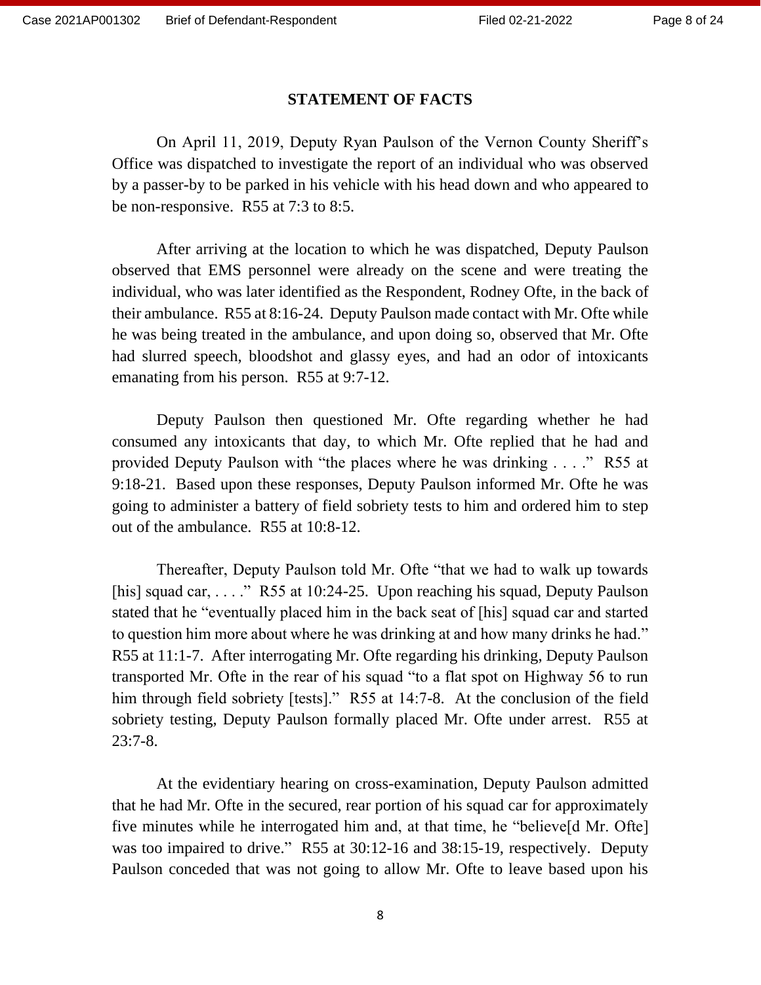### **STATEMENT OF FACTS**

On April 11, 2019, Deputy Ryan Paulson of the Vernon County Sheriff's Office was dispatched to investigate the report of an individual who was observed by a passer-by to be parked in his vehicle with his head down and who appeared to be non-responsive. R55 at 7:3 to 8:5.

After arriving at the location to which he was dispatched, Deputy Paulson observed that EMS personnel were already on the scene and were treating the individual, who was later identified as the Respondent, Rodney Ofte, in the back of their ambulance. R55 at 8:16-24. Deputy Paulson made contact with Mr. Ofte while he was being treated in the ambulance, and upon doing so, observed that Mr. Ofte had slurred speech, bloodshot and glassy eyes, and had an odor of intoxicants emanating from his person. R55 at 9:7-12.

Deputy Paulson then questioned Mr. Ofte regarding whether he had consumed any intoxicants that day, to which Mr. Ofte replied that he had and provided Deputy Paulson with "the places where he was drinking . . . ." R55 at 9:18-21. Based upon these responses, Deputy Paulson informed Mr. Ofte he was going to administer a battery of field sobriety tests to him and ordered him to step out of the ambulance. R55 at 10:8-12.

Thereafter, Deputy Paulson told Mr. Ofte "that we had to walk up towards [his] squad car, ...."  $R55$  at 10:24-25. Upon reaching his squad, Deputy Paulson stated that he "eventually placed him in the back seat of [his] squad car and started to question him more about where he was drinking at and how many drinks he had." R55 at 11:1-7. After interrogating Mr. Ofte regarding his drinking, Deputy Paulson transported Mr. Ofte in the rear of his squad "to a flat spot on Highway 56 to run him through field sobriety [tests]." R55 at 14:7-8. At the conclusion of the field sobriety testing, Deputy Paulson formally placed Mr. Ofte under arrest. R55 at  $23:7-8.$ 

At the evidentiary hearing on cross-examination, Deputy Paulson admitted that he had Mr. Ofte in the secured, rear portion of his squad car for approximately five minutes while he interrogated him and, at that time, he "believe[d Mr. Ofte] was too impaired to drive." R55 at 30:12-16 and 38:15-19, respectively. Deputy Paulson conceded that was not going to allow Mr. Ofte to leave based upon his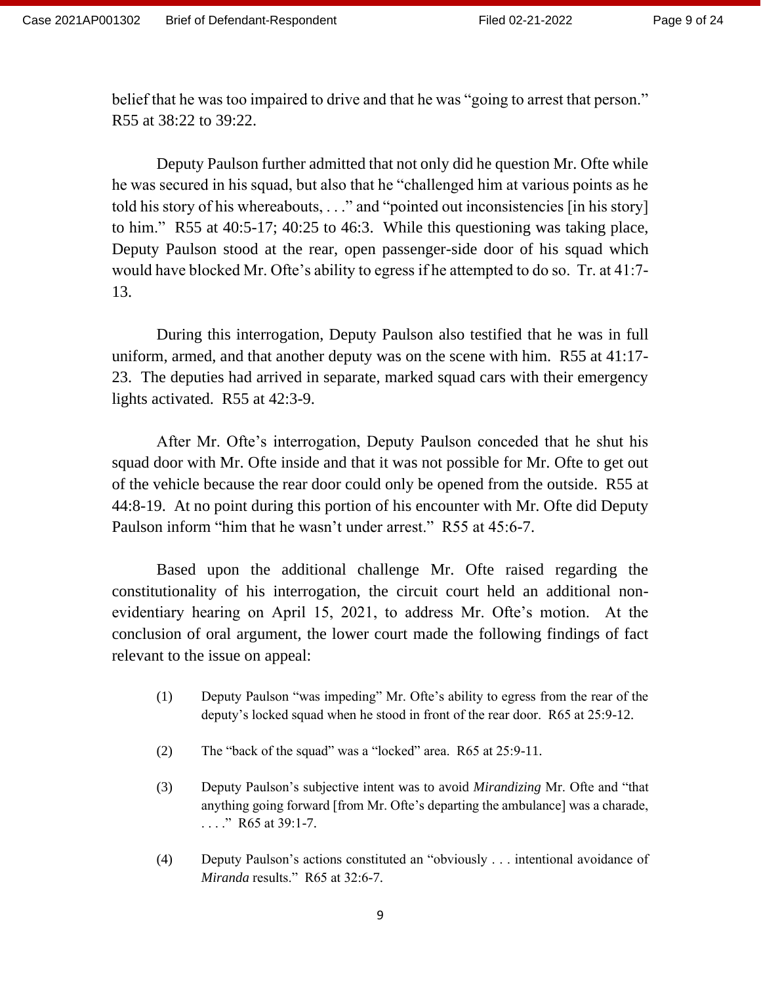belief that he was too impaired to drive and that he was "going to arrest that person." R55 at 38:22 to 39:22.

Deputy Paulson further admitted that not only did he question Mr. Ofte while he was secured in his squad, but also that he "challenged him at various points as he told his story of his whereabouts, . . ." and "pointed out inconsistencies [in his story] to him." R55 at 40:5-17; 40:25 to 46:3. While this questioning was taking place, Deputy Paulson stood at the rear, open passenger-side door of his squad which would have blocked Mr. Ofte's ability to egress if he attempted to do so. Tr. at 41:7- 13.

During this interrogation, Deputy Paulson also testified that he was in full uniform, armed, and that another deputy was on the scene with him. R55 at 41:17- 23. The deputies had arrived in separate, marked squad cars with their emergency lights activated. R55 at 42:3-9.

After Mr. Ofte's interrogation, Deputy Paulson conceded that he shut his squad door with Mr. Ofte inside and that it was not possible for Mr. Ofte to get out of the vehicle because the rear door could only be opened from the outside. R55 at 44:8-19. At no point during this portion of his encounter with Mr. Ofte did Deputy Paulson inform "him that he wasn't under arrest." R55 at 45:6-7.

Based upon the additional challenge Mr. Ofte raised regarding the constitutionality of his interrogation, the circuit court held an additional nonevidentiary hearing on April 15, 2021, to address Mr. Ofte's motion. At the conclusion of oral argument, the lower court made the following findings of fact relevant to the issue on appeal:

- (1) Deputy Paulson "was impeding" Mr. Ofte's ability to egress from the rear of the deputy's locked squad when he stood in front of the rear door. R65 at 25:9-12.
- (2) The "back of the squad" was a "locked" area. R65 at 25:9-11.
- (3) Deputy Paulson's subjective intent was to avoid *Mirandizing* Mr. Ofte and "that anything going forward [from Mr. Ofte's departing the ambulance] was a charade, . . . ." R65 at 39:1-7.
- (4) Deputy Paulson's actions constituted an "obviously . . . intentional avoidance of *Miranda* results." R65 at 32:6-7.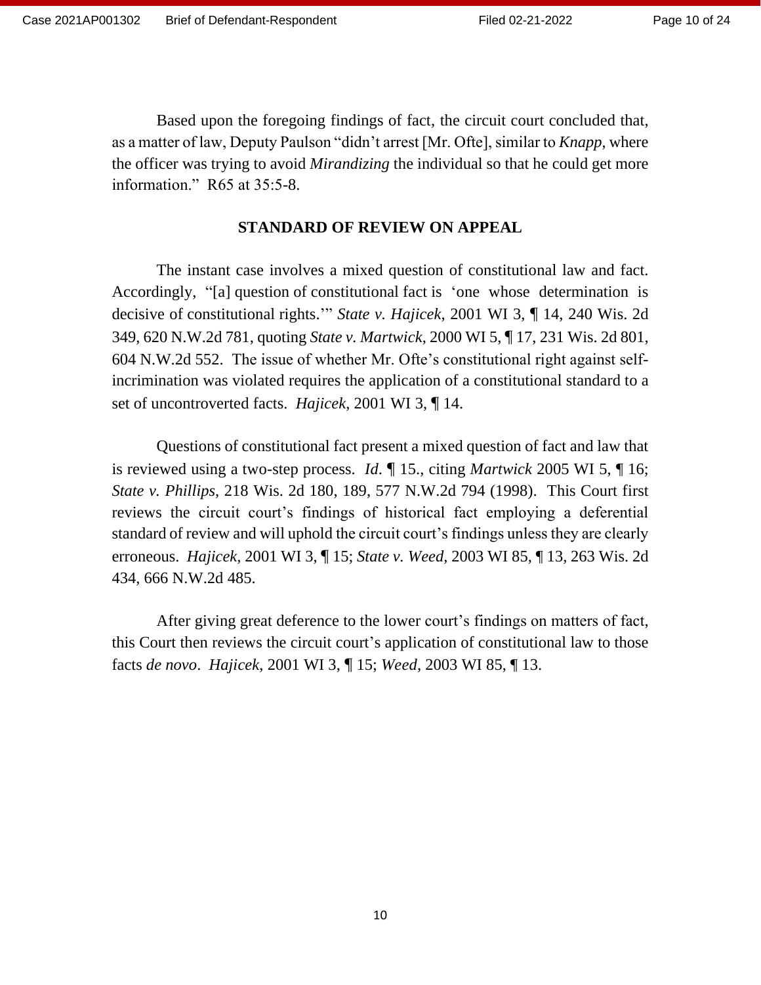Based upon the foregoing findings of fact, the circuit court concluded that, as a matter of law, Deputy Paulson "didn't arrest [Mr. Ofte], similar to *Knapp*, where the officer was trying to avoid *Mirandizing* the individual so that he could get more information." R65 at 35:5-8.

### **STANDARD OF REVIEW ON APPEAL**

The instant case involves a mixed question of constitutional law and fact. Accordingly, "[a] question of constitutional fact is 'one whose determination is decisive of constitutional rights.'" *State v. Hajicek*, 2001 WI 3, ¶ 14, 240 Wis. 2d 349, 620 N.W.2d 781, quoting *State v. Martwick*, 2000 WI 5, ¶ 17, 231 Wis. 2d 801, 604 N.W.2d 552. The issue of whether Mr. Ofte's constitutional right against selfincrimination was violated requires the application of a constitutional standard to a set of uncontroverted facts. *Hajicek*, 2001 WI 3, ¶ 14.

Questions of constitutional fact present a mixed question of fact and law that is reviewed using a two-step process. *Id*. ¶ 15., citing *Martwick* 2005 WI 5, ¶ 16; *State v. Phillips*, 218 Wis. 2d 180, 189, 577 N.W.2d 794 (1998). This Court first reviews the circuit court's findings of historical fact employing a deferential standard of review and will uphold the circuit court's findings unless they are clearly erroneous. *Hajicek*, 2001 WI 3, ¶ 15; *State v. Weed*, 2003 WI 85, ¶ 13, 263 Wis. 2d 434, 666 N.W.2d 485.

After giving great deference to the lower court's findings on matters of fact, this Court then reviews the circuit court's application of constitutional law to those facts *de novo*. *Hajicek*, 2001 WI 3, ¶ 15; *Weed*, 2003 WI 85, ¶ 13.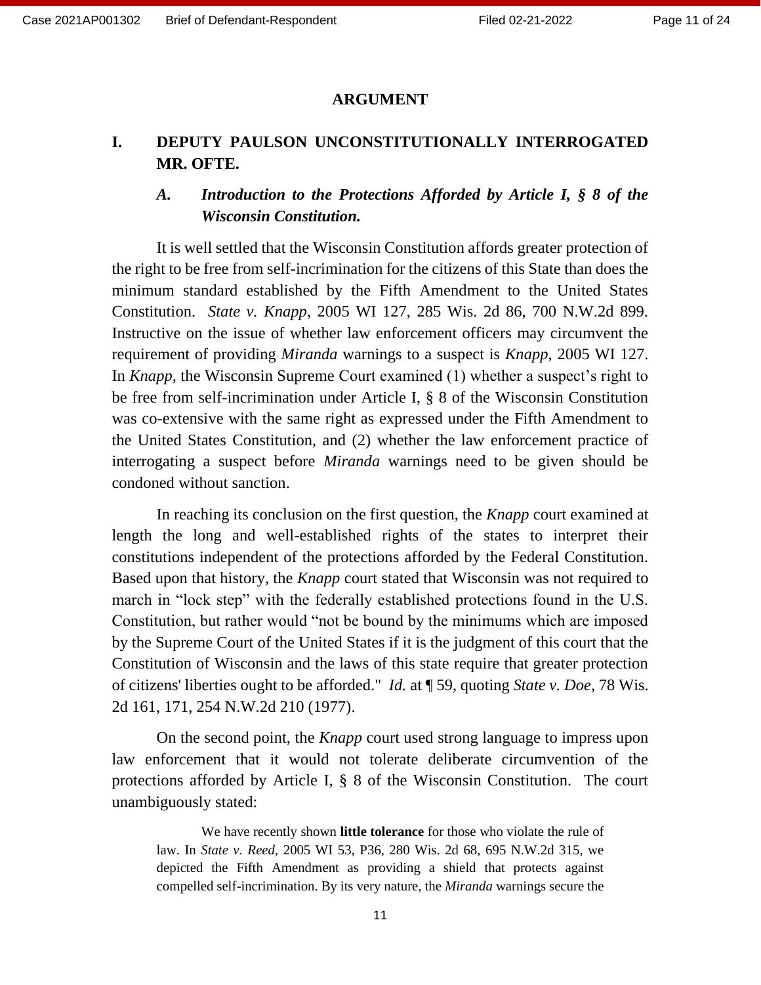### **ARGUMENT**

# **I. DEPUTY PAULSON UNCONSTITUTIONALLY INTERROGATED MR. OFTE.**

# *A. Introduction to the Protections Afforded by Article I, § 8 of the Wisconsin Constitution.*

It is well settled that the Wisconsin Constitution affords greater protection of the right to be free from self-incrimination for the citizens of this State than does the minimum standard established by the Fifth Amendment to the United States Constitution. *State v. Knapp*, 2005 WI 127, 285 Wis. 2d 86, 700 N.W.2d 899. Instructive on the issue of whether law enforcement officers may circumvent the requirement of providing *Miranda* warnings to a suspect is *Knapp*, 2005 WI 127. In *Knapp*, the Wisconsin Supreme Court examined (1) whether a suspect's right to be free from self-incrimination under Article I, § 8 of the Wisconsin Constitution was co-extensive with the same right as expressed under the Fifth Amendment to the United States Constitution, and (2) whether the law enforcement practice of interrogating a suspect before *Miranda* warnings need to be given should be condoned without sanction.

In reaching its conclusion on the first question, the *Knapp* court examined at length the long and well-established rights of the states to interpret their constitutions independent of the protections afforded by the Federal Constitution. Based upon that history, the *Knapp* court stated that Wisconsin was not required to march in "lock step" with the federally established protections found in the U.S. Constitution, but rather would "not be bound by the minimums which are imposed by the Supreme Court of the United States if it is the judgment of this court that the Constitution of Wisconsin and the laws of this state require that greater protection of citizens' liberties ought to be afforded." *Id.* at ¶ 59, quoting *State v. Doe*, 78 Wis. 2d 161, 171, 254 N.W.2d 210 (1977).

On the second point, the *Knapp* court used strong language to impress upon law enforcement that it would not tolerate deliberate circumvention of the protections afforded by Article I, § 8 of the Wisconsin Constitution. The court unambiguously stated:

We have recently shown **little tolerance** for those who violate the rule of law. In *State v. Reed*, 2005 WI 53, P36, 280 Wis. 2d 68, 695 N.W.2d 315, we depicted the Fifth Amendment as providing a shield that protects against compelled self-incrimination. By its very nature, the *Miranda* warnings secure the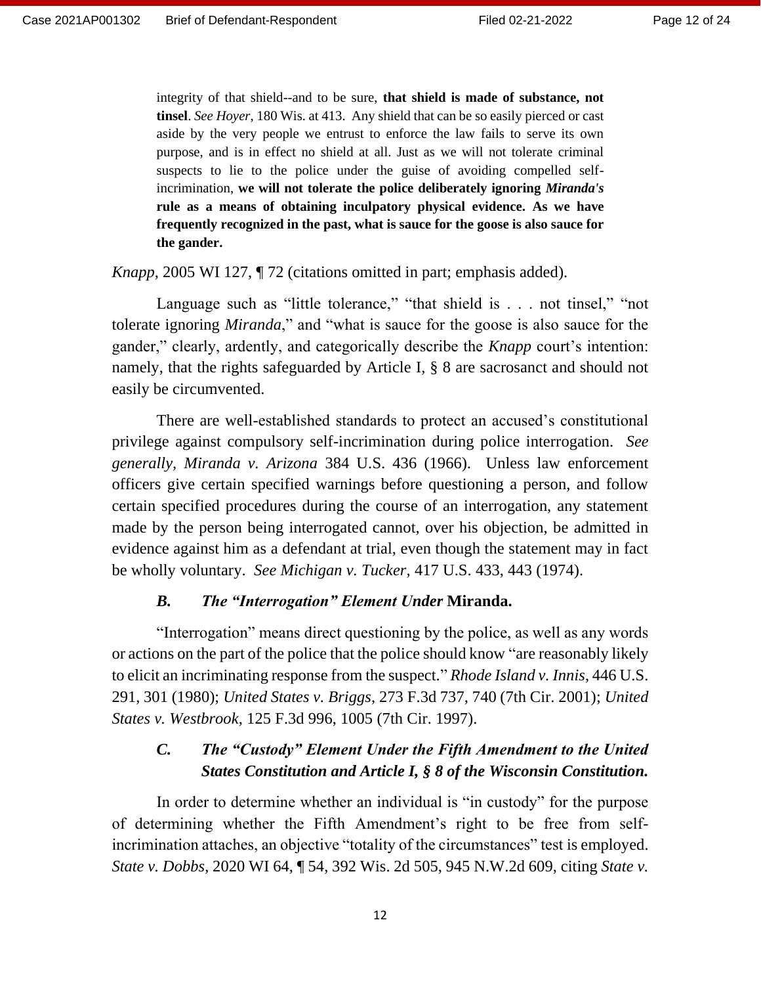integrity of that shield--and to be sure, **that shield is made of substance, not tinsel**. *See Hoyer*, 180 Wis. at 413. Any shield that can be so easily pierced or cast aside by the very people we entrust to enforce the law fails to serve its own purpose, and is in effect no shield at all. Just as we will not tolerate criminal suspects to lie to the police under the guise of avoiding compelled selfincrimination, **we will not tolerate the police deliberately ignoring** *Miranda's* **rule as a means of obtaining inculpatory physical evidence. As we have frequently recognized in the past, what is sauce for the goose is also sauce for the gander.**

*Knapp*, 2005 WI 127, ¶ 72 (citations omitted in part; emphasis added).

Language such as "little tolerance," "that shield is . . . not tinsel," "not tolerate ignoring *Miranda*," and "what is sauce for the goose is also sauce for the gander," clearly, ardently, and categorically describe the *Knapp* court's intention: namely, that the rights safeguarded by Article I, § 8 are sacrosanct and should not easily be circumvented.

There are well-established standards to protect an accused's constitutional privilege against compulsory self-incrimination during police interrogation. *See generally, Miranda v. Arizona* 384 U.S. 436 (1966). Unless law enforcement officers give certain specified warnings before questioning a person, and follow certain specified procedures during the course of an interrogation, any statement made by the person being interrogated cannot, over his objection, be admitted in evidence against him as a defendant at trial, even though the statement may in fact be wholly voluntary. *See Michigan v. Tucker,* 417 U.S. 433, 443 (1974).

#### *B. The "Interrogation" Element Under* **Miranda.**

"Interrogation" means direct questioning by the police, as well as any words or actions on the part of the police that the police should know "are reasonably likely to elicit an incriminating response from the suspect." *Rhode Island v. Innis*, 446 U.S. 291, 301 (1980); *United States v. Briggs*, 273 F.3d 737, 740 (7th Cir. 2001); *United States v. Westbrook*, 125 F.3d 996, 1005 (7th Cir. 1997).

### *C. The "Custody" Element Under the Fifth Amendment to the United States Constitution and Article I, § 8 of the Wisconsin Constitution.*

In order to determine whether an individual is "in custody" for the purpose of determining whether the Fifth Amendment's right to be free from selfincrimination attaches, an objective "totality of the circumstances" test is employed. *State v. Dobbs*, 2020 WI 64, ¶ 54, 392 Wis. 2d 505, 945 N.W.2d 609, citing *State v.*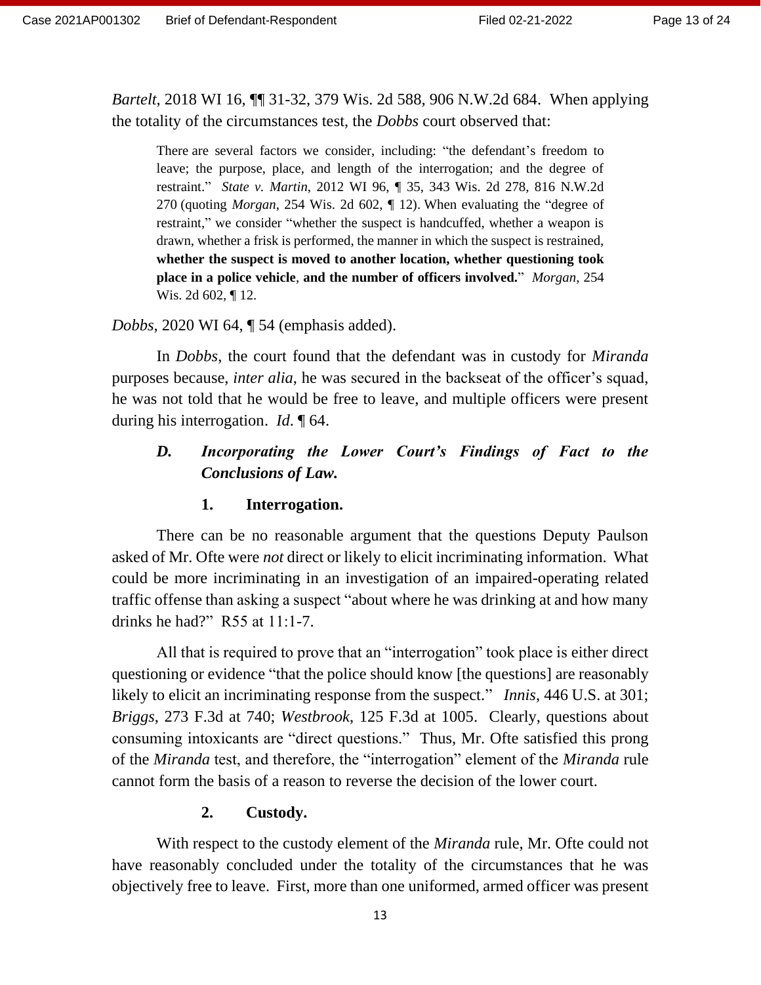*Bartelt*, 2018 WI 16, ¶¶ 31-32, 379 Wis. 2d 588, 906 N.W.2d 684. When applying the totality of the circumstances test, the *Dobbs* court observed that:

There are several factors we consider, including: "the defendant's freedom to leave; the purpose, place, and length of the interrogation; and the degree of restraint." *State v. Martin*, 2012 WI 96, ¶ 35, 343 Wis. 2d 278, 816 N.W.2d 270 (quoting *Morgan*, 254 Wis. 2d 602, ¶ 12). When evaluating the "degree of restraint," we consider "whether the suspect is handcuffed, whether a weapon is drawn, whether a frisk is performed, the manner in which the suspect is restrained, **whether the suspect is moved to another location, whether questioning took place in a police vehicle**, **and the number of officers involved.**" *Morgan*, 254 Wis. 2d 602, ¶ 12.

### *Dobbs*, 2020 WI 64, ¶ 54 (emphasis added).

In *Dobbs*, the court found that the defendant was in custody for *Miranda* purposes because, *inter alia*, he was secured in the backseat of the officer's squad, he was not told that he would be free to leave, and multiple officers were present during his interrogation. *Id*. ¶ 64.

# *D. Incorporating the Lower Court's Findings of Fact to the Conclusions of Law.*

### **1. Interrogation.**

There can be no reasonable argument that the questions Deputy Paulson asked of Mr. Ofte were *not* direct or likely to elicit incriminating information. What could be more incriminating in an investigation of an impaired-operating related traffic offense than asking a suspect "about where he was drinking at and how many drinks he had?" R55 at 11:1-7.

All that is required to prove that an "interrogation" took place is either direct questioning or evidence "that the police should know [the questions] are reasonably likely to elicit an incriminating response from the suspect." *Innis*, 446 U.S. at 301; *Briggs*, 273 F.3d at 740; *Westbrook*, 125 F.3d at 1005. Clearly, questions about consuming intoxicants are "direct questions." Thus, Mr. Ofte satisfied this prong of the *Miranda* test, and therefore, the "interrogation" element of the *Miranda* rule cannot form the basis of a reason to reverse the decision of the lower court.

#### **2. Custody.**

With respect to the custody element of the *Miranda* rule, Mr. Ofte could not have reasonably concluded under the totality of the circumstances that he was objectively free to leave. First, more than one uniformed, armed officer was present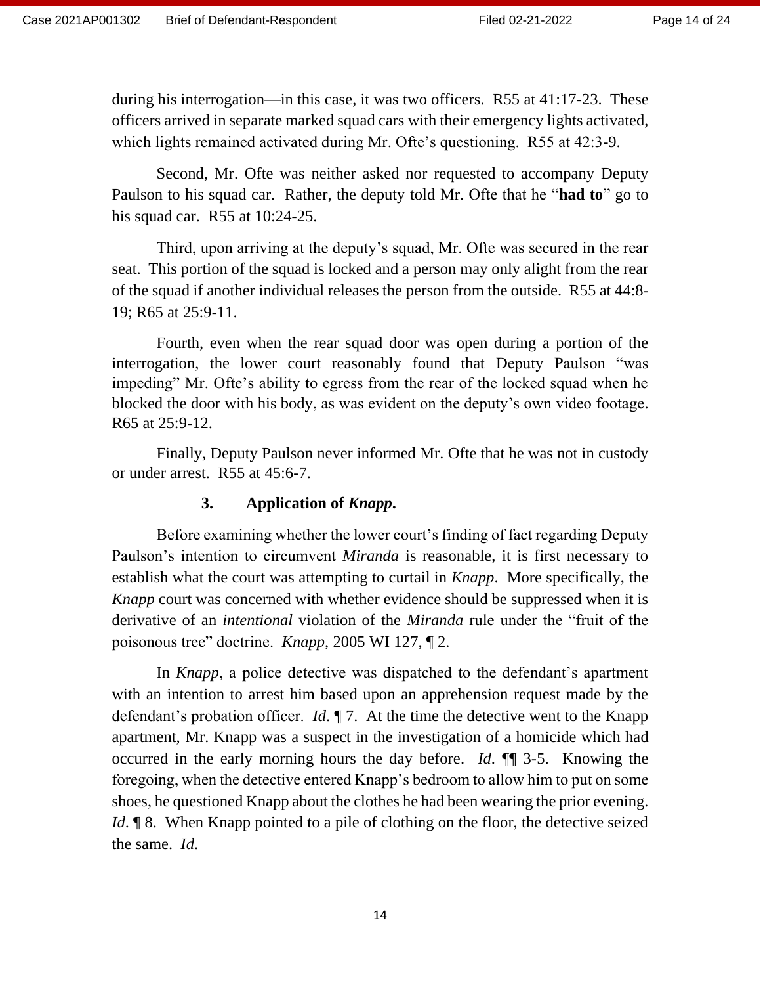during his interrogation—in this case, it was two officers. R55 at 41:17-23. These officers arrived in separate marked squad cars with their emergency lights activated, which lights remained activated during Mr. Ofte's questioning. R55 at 42:3-9.

Second, Mr. Ofte was neither asked nor requested to accompany Deputy Paulson to his squad car. Rather, the deputy told Mr. Ofte that he "**had to**" go to his squad car. R55 at 10:24-25.

Third, upon arriving at the deputy's squad, Mr. Ofte was secured in the rear seat. This portion of the squad is locked and a person may only alight from the rear of the squad if another individual releases the person from the outside. R55 at 44:8- 19; R65 at 25:9-11.

Fourth, even when the rear squad door was open during a portion of the interrogation, the lower court reasonably found that Deputy Paulson "was impeding" Mr. Ofte's ability to egress from the rear of the locked squad when he blocked the door with his body, as was evident on the deputy's own video footage. R65 at 25:9-12.

Finally, Deputy Paulson never informed Mr. Ofte that he was not in custody or under arrest. R55 at 45:6-7.

### **3. Application of** *Knapp***.**

Before examining whether the lower court's finding of fact regarding Deputy Paulson's intention to circumvent *Miranda* is reasonable, it is first necessary to establish what the court was attempting to curtail in *Knapp*. More specifically, the *Knapp* court was concerned with whether evidence should be suppressed when it is derivative of an *intentional* violation of the *Miranda* rule under the "fruit of the poisonous tree" doctrine. *Knapp*, 2005 WI 127, ¶ 2.

In *Knapp*, a police detective was dispatched to the defendant's apartment with an intention to arrest him based upon an apprehension request made by the defendant's probation officer. *Id*. ¶ 7. At the time the detective went to the Knapp apartment, Mr. Knapp was a suspect in the investigation of a homicide which had occurred in the early morning hours the day before. *Id*. ¶¶ 3-5. Knowing the foregoing, when the detective entered Knapp's bedroom to allow him to put on some shoes, he questioned Knapp about the clothes he had been wearing the prior evening. *Id*. **[8.** When Knapp pointed to a pile of clothing on the floor, the detective seized the same. *Id*.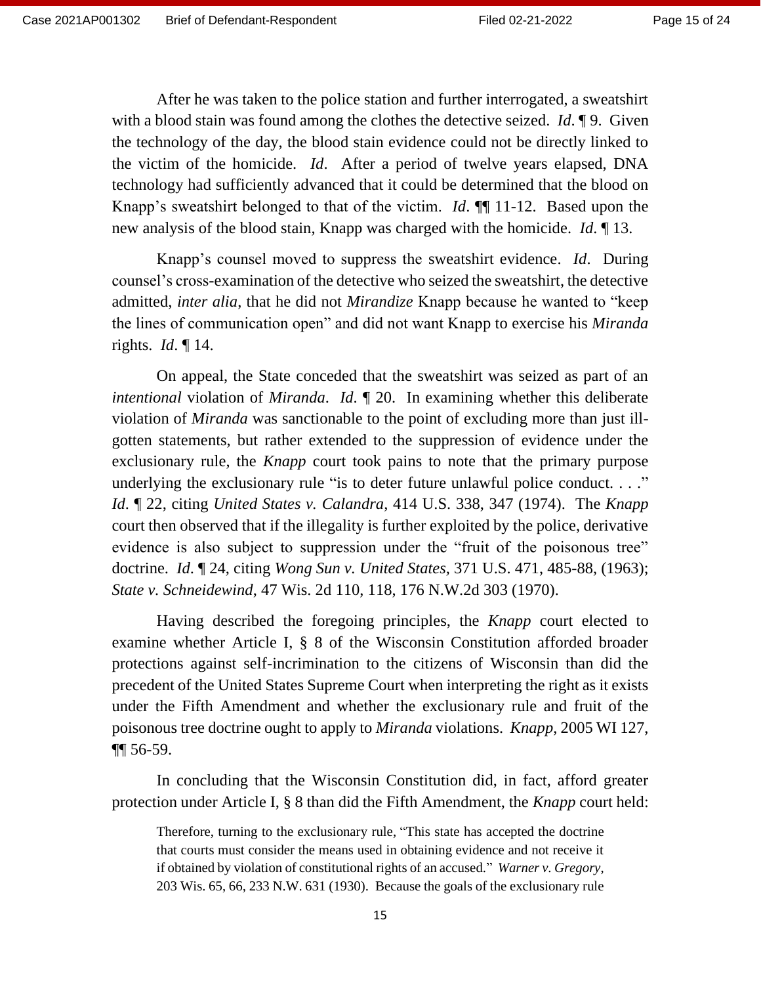After he was taken to the police station and further interrogated, a sweatshirt with a blood stain was found among the clothes the detective seized. *Id*. ¶ 9. Given the technology of the day, the blood stain evidence could not be directly linked to the victim of the homicide. *Id*. After a period of twelve years elapsed, DNA technology had sufficiently advanced that it could be determined that the blood on Knapp's sweatshirt belonged to that of the victim. *Id*. ¶¶ 11-12. Based upon the new analysis of the blood stain, Knapp was charged with the homicide. *Id*. ¶ 13.

Knapp's counsel moved to suppress the sweatshirt evidence. *Id*. During counsel's cross-examination of the detective who seized the sweatshirt, the detective admitted, *inter alia*, that he did not *Mirandize* Knapp because he wanted to "keep the lines of communication open" and did not want Knapp to exercise his *Miranda* rights. *Id*. ¶ 14.

On appeal, the State conceded that the sweatshirt was seized as part of an *intentional* violation of *Miranda*. *Id*. ¶ 20. In examining whether this deliberate violation of *Miranda* was sanctionable to the point of excluding more than just illgotten statements, but rather extended to the suppression of evidence under the exclusionary rule, the *Knapp* court took pains to note that the primary purpose underlying the exclusionary rule "is to deter future unlawful police conduct. . . ." *Id*. ¶ 22, citing *United States v. Calandra*, 414 U.S. 338, 347 (1974). The *Knapp* court then observed that if the illegality is further exploited by the police, derivative evidence is also subject to suppression under the "fruit of the poisonous tree" doctrine. *Id*. ¶ 24, citing *Wong Sun v. United States,* 371 U.S. 471, 485-88, (1963); *State v. Schneidewind*, 47 Wis. 2d 110, 118, 176 N.W.2d 303 (1970).

Having described the foregoing principles, the *Knapp* court elected to examine whether Article I, § 8 of the Wisconsin Constitution afforded broader protections against self-incrimination to the citizens of Wisconsin than did the precedent of the United States Supreme Court when interpreting the right as it exists under the Fifth Amendment and whether the exclusionary rule and fruit of the poisonous tree doctrine ought to apply to *Miranda* violations. *Knapp*, 2005 WI 127, ¶¶ 56-59.

In concluding that the Wisconsin Constitution did, in fact, afford greater protection under Article I, § 8 than did the Fifth Amendment, the *Knapp* court held:

Therefore, turning to the exclusionary rule, "This state has accepted the doctrine that courts must consider the means used in obtaining evidence and not receive it if obtained by violation of constitutional rights of an accused." *Warner v. Gregory*, 203 Wis. 65, 66, 233 N.W. 631 (1930). Because the goals of the exclusionary rule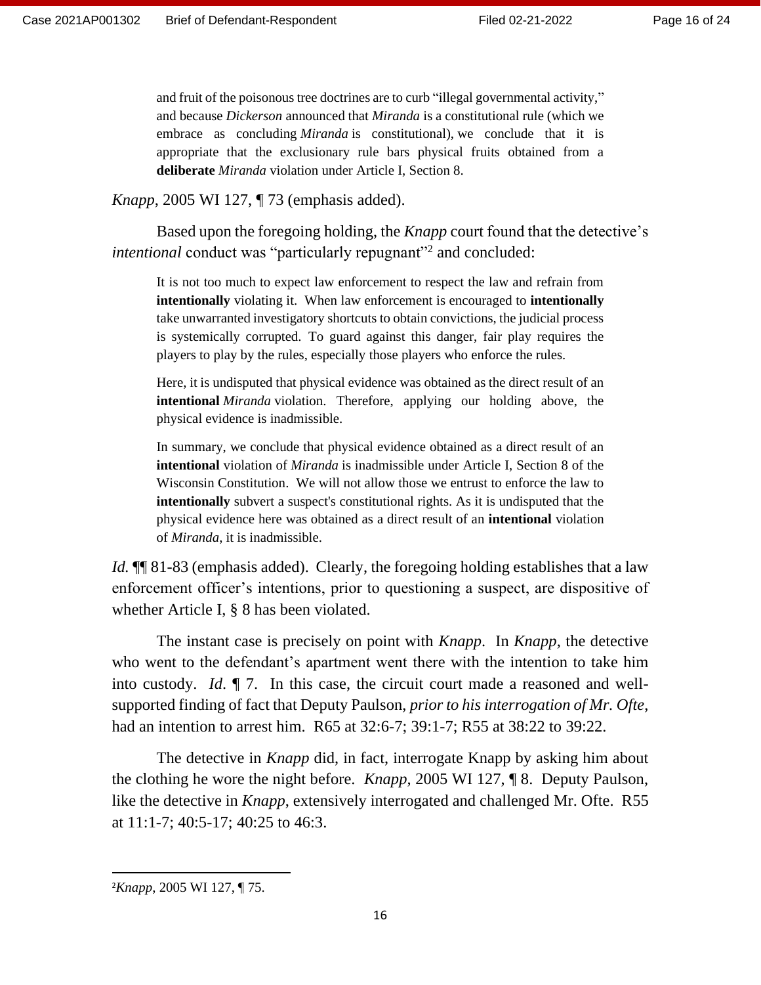and fruit of the poisonous tree doctrines are to curb "illegal governmental activity," and because *Dickerson* announced that *Miranda* is a constitutional rule (which we embrace as concluding *Miranda* is constitutional), we conclude that it is appropriate that the exclusionary rule bars physical fruits obtained from a **deliberate** *Miranda* violation under Article I, Section 8.

*Knapp*, 2005 WI 127, ¶ 73 (emphasis added).

Based upon the foregoing holding, the *Knapp* court found that the detective's intentional conduct was "particularly repugnant"<sup>2</sup> and concluded:

It is not too much to expect law enforcement to respect the law and refrain from **intentionally** violating it. When law enforcement is encouraged to **intentionally** take unwarranted investigatory shortcuts to obtain convictions, the judicial process is systemically corrupted. To guard against this danger, fair play requires the players to play by the rules, especially those players who enforce the rules.

Here, it is undisputed that physical evidence was obtained as the direct result of an **intentional** *Miranda* violation. Therefore, applying our holding above, the physical evidence is inadmissible.

In summary, we conclude that physical evidence obtained as a direct result of an **intentional** violation of *Miranda* is inadmissible under Article I, Section 8 of the Wisconsin Constitution. We will not allow those we entrust to enforce the law to **intentionally** subvert a suspect's constitutional rights. As it is undisputed that the physical evidence here was obtained as a direct result of an **intentional** violation of *Miranda*, it is inadmissible.

*Id.*  $\P$  81-83 (emphasis added). Clearly, the foregoing holding establishes that a law enforcement officer's intentions, prior to questioning a suspect, are dispositive of whether Article I, § 8 has been violated.

The instant case is precisely on point with *Knapp*. In *Knapp*, the detective who went to the defendant's apartment went there with the intention to take him into custody. *Id*. ¶ 7. In this case, the circuit court made a reasoned and wellsupported finding of fact that Deputy Paulson, *prior to his interrogation of Mr. Ofte*, had an intention to arrest him. R65 at 32:6-7; 39:1-7; R55 at 38:22 to 39:22.

The detective in *Knapp* did, in fact, interrogate Knapp by asking him about the clothing he wore the night before. *Knapp*, 2005 WI 127, ¶ 8. Deputy Paulson, like the detective in *Knapp*, extensively interrogated and challenged Mr. Ofte. R55 at 11:1-7; 40:5-17; 40:25 to 46:3.

<sup>2</sup>*Knapp*, 2005 WI 127, ¶ 75.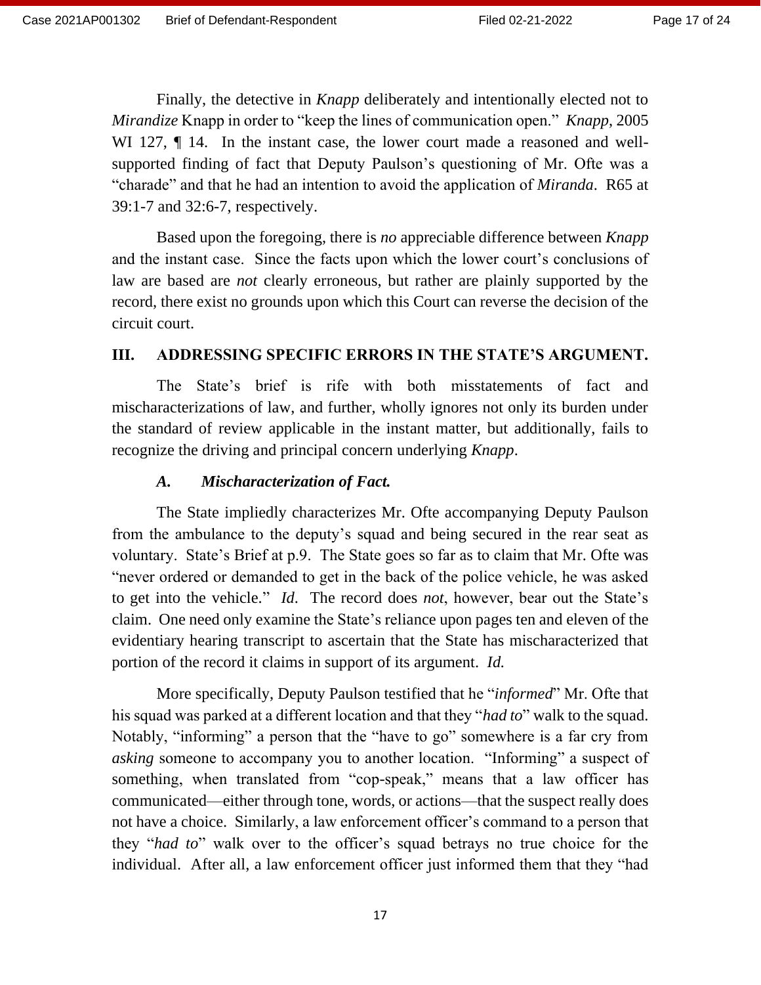Finally, the detective in *Knapp* deliberately and intentionally elected not to *Mirandize* Knapp in order to "keep the lines of communication open." *Knapp*, 2005 WI 127,  $\P$  14. In the instant case, the lower court made a reasoned and wellsupported finding of fact that Deputy Paulson's questioning of Mr. Ofte was a "charade" and that he had an intention to avoid the application of *Miranda*. R65 at 39:1-7 and 32:6-7, respectively.

Based upon the foregoing, there is *no* appreciable difference between *Knapp* and the instant case. Since the facts upon which the lower court's conclusions of law are based are *not* clearly erroneous, but rather are plainly supported by the record, there exist no grounds upon which this Court can reverse the decision of the circuit court.

### **III. ADDRESSING SPECIFIC ERRORS IN THE STATE'S ARGUMENT.**

The State's brief is rife with both misstatements of fact and mischaracterizations of law, and further, wholly ignores not only its burden under the standard of review applicable in the instant matter, but additionally, fails to recognize the driving and principal concern underlying *Knapp*.

### *A. Mischaracterization of Fact.*

The State impliedly characterizes Mr. Ofte accompanying Deputy Paulson from the ambulance to the deputy's squad and being secured in the rear seat as voluntary. State's Brief at p.9. The State goes so far as to claim that Mr. Ofte was "never ordered or demanded to get in the back of the police vehicle, he was asked to get into the vehicle." *Id*. The record does *not*, however, bear out the State's claim. One need only examine the State's reliance upon pages ten and eleven of the evidentiary hearing transcript to ascertain that the State has mischaracterized that portion of the record it claims in support of its argument. *Id.*

More specifically, Deputy Paulson testified that he "*informed*" Mr. Ofte that his squad was parked at a different location and that they "*had to*" walk to the squad. Notably, "informing" a person that the "have to go" somewhere is a far cry from *asking* someone to accompany you to another location. "Informing" a suspect of something, when translated from "cop-speak," means that a law officer has communicated—either through tone, words, or actions—that the suspect really does not have a choice. Similarly, a law enforcement officer's command to a person that they "*had to*" walk over to the officer's squad betrays no true choice for the individual. After all, a law enforcement officer just informed them that they "had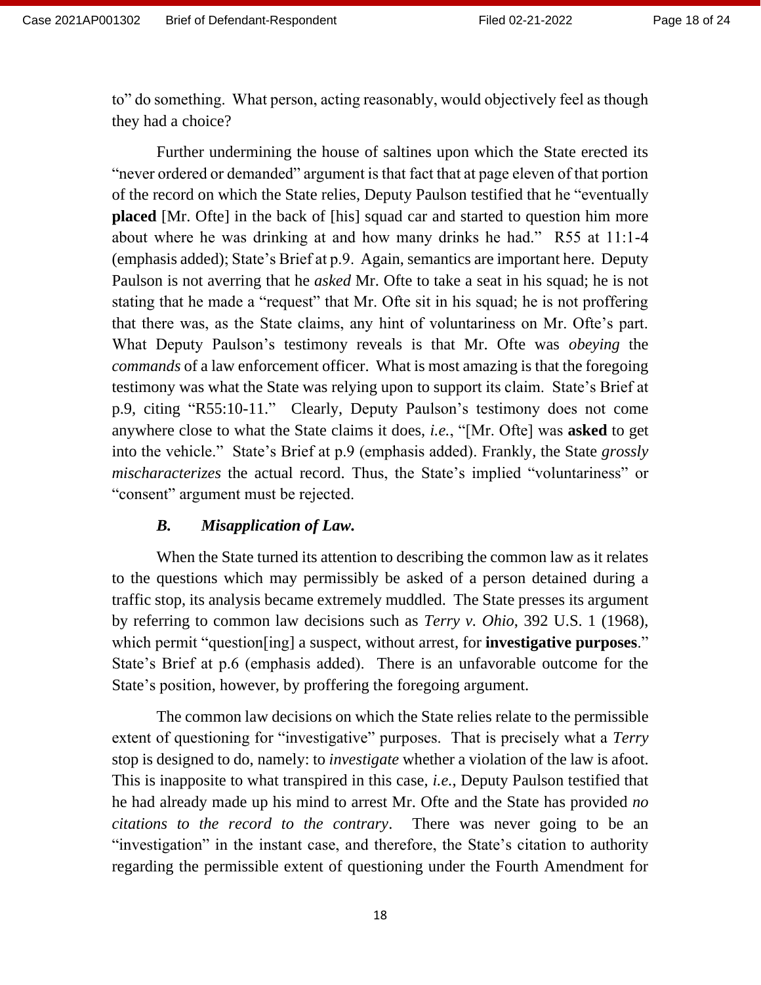to" do something. What person, acting reasonably, would objectively feel as though they had a choice?

Further undermining the house of saltines upon which the State erected its "never ordered or demanded" argument is that fact that at page eleven of that portion of the record on which the State relies, Deputy Paulson testified that he "eventually **placed** [Mr. Ofte] in the back of [his] squad car and started to question him more about where he was drinking at and how many drinks he had." R55 at 11:1-4 (emphasis added); State's Brief at p.9. Again, semantics are important here. Deputy Paulson is not averring that he *asked* Mr. Ofte to take a seat in his squad; he is not stating that he made a "request" that Mr. Ofte sit in his squad; he is not proffering that there was, as the State claims, any hint of voluntariness on Mr. Ofte's part. What Deputy Paulson's testimony reveals is that Mr. Ofte was *obeying* the *commands* of a law enforcement officer. What is most amazing is that the foregoing testimony was what the State was relying upon to support its claim. State's Brief at p.9, citing "R55:10-11." Clearly, Deputy Paulson's testimony does not come anywhere close to what the State claims it does, *i.e.*, "[Mr. Ofte] was **asked** to get into the vehicle." State's Brief at p.9 (emphasis added). Frankly, the State *grossly mischaracterizes* the actual record. Thus, the State's implied "voluntariness" or "consent" argument must be rejected.

### *B. Misapplication of Law.*

When the State turned its attention to describing the common law as it relates to the questions which may permissibly be asked of a person detained during a traffic stop, its analysis became extremely muddled. The State presses its argument by referring to common law decisions such as *Terry v. Ohio*, 392 U.S. 1 (1968), which permit "question[ing] a suspect, without arrest, for **investigative purposes**." State's Brief at p.6 (emphasis added). There is an unfavorable outcome for the State's position, however, by proffering the foregoing argument.

The common law decisions on which the State relies relate to the permissible extent of questioning for "investigative" purposes. That is precisely what a *Terry* stop is designed to do, namely: to *investigate* whether a violation of the law is afoot. This is inapposite to what transpired in this case, *i.e.*, Deputy Paulson testified that he had already made up his mind to arrest Mr. Ofte and the State has provided *no citations to the record to the contrary*. There was never going to be an "investigation" in the instant case, and therefore, the State's citation to authority regarding the permissible extent of questioning under the Fourth Amendment for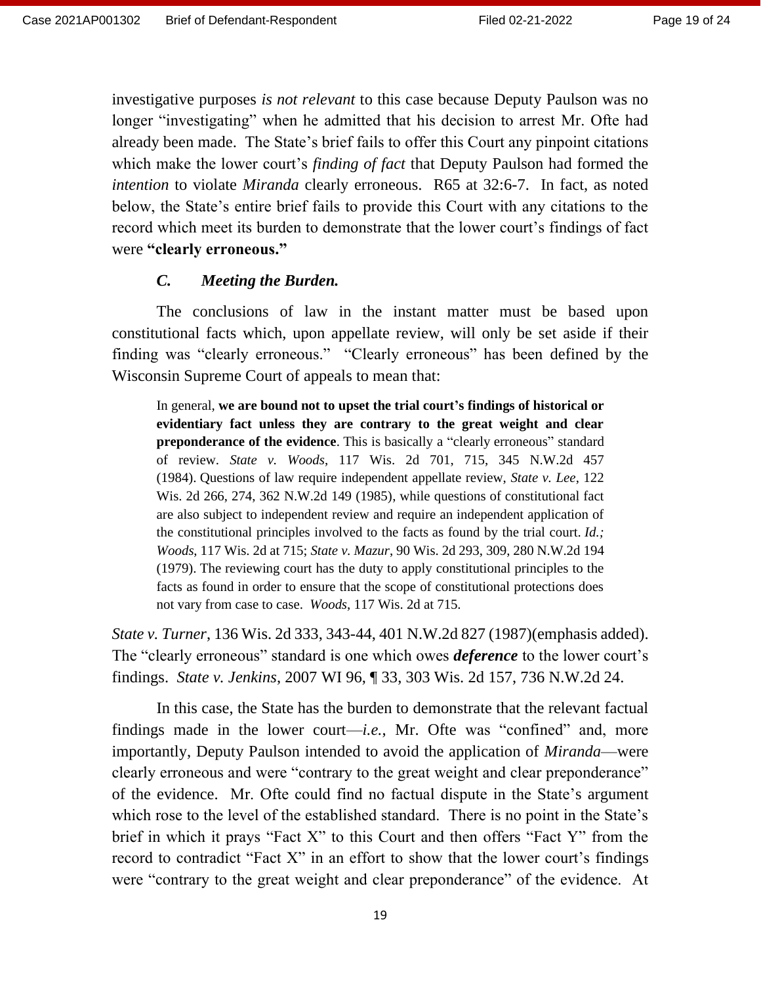investigative purposes *is not relevant* to this case because Deputy Paulson was no longer "investigating" when he admitted that his decision to arrest Mr. Ofte had already been made. The State's brief fails to offer this Court any pinpoint citations which make the lower court's *finding of fact* that Deputy Paulson had formed the *intention* to violate *Miranda* clearly erroneous. R65 at 32:6-7. In fact, as noted below, the State's entire brief fails to provide this Court with any citations to the record which meet its burden to demonstrate that the lower court's findings of fact were **"clearly erroneous."**

### *C. Meeting the Burden.*

The conclusions of law in the instant matter must be based upon constitutional facts which, upon appellate review, will only be set aside if their finding was "clearly erroneous." "Clearly erroneous" has been defined by the Wisconsin Supreme Court of appeals to mean that:

In general, **we are bound not to upset the trial court's findings of historical or evidentiary fact unless they are contrary to the great weight and clear preponderance of the evidence**. This is basically a "clearly erroneous" standard of review. *State v. Woods*, 117 Wis. 2d 701, 715, 345 N.W.2d 457 (1984). Questions of law require independent appellate review, *State v. Lee*, 122 Wis. 2d 266, 274, 362 N.W.2d 149 (1985), while questions of constitutional fact are also subject to independent review and require an independent application of the constitutional principles involved to the facts as found by the trial court. *Id.; Woods*, 117 Wis. 2d at 715; *State v. Mazur*, 90 Wis. 2d 293, 309, 280 N.W.2d 194 (1979). The reviewing court has the duty to apply constitutional principles to the facts as found in order to ensure that the scope of constitutional protections does not vary from case to case. *Woods*, 117 Wis. 2d at 715.

*State v. Turner*, 136 Wis. 2d 333, 343-44, 401 N.W.2d 827 (1987)(emphasis added). The "clearly erroneous" standard is one which owes *deference* to the lower court's findings. *State v. Jenkins*, 2007 WI 96, ¶ 33, 303 Wis. 2d 157, 736 N.W.2d 24.

In this case, the State has the burden to demonstrate that the relevant factual findings made in the lower court—*i.e.*, Mr. Ofte was "confined" and, more importantly, Deputy Paulson intended to avoid the application of *Miranda*—were clearly erroneous and were "contrary to the great weight and clear preponderance" of the evidence. Mr. Ofte could find no factual dispute in the State's argument which rose to the level of the established standard. There is no point in the State's brief in which it prays "Fact X" to this Court and then offers "Fact Y" from the record to contradict "Fact X" in an effort to show that the lower court's findings were "contrary to the great weight and clear preponderance" of the evidence. At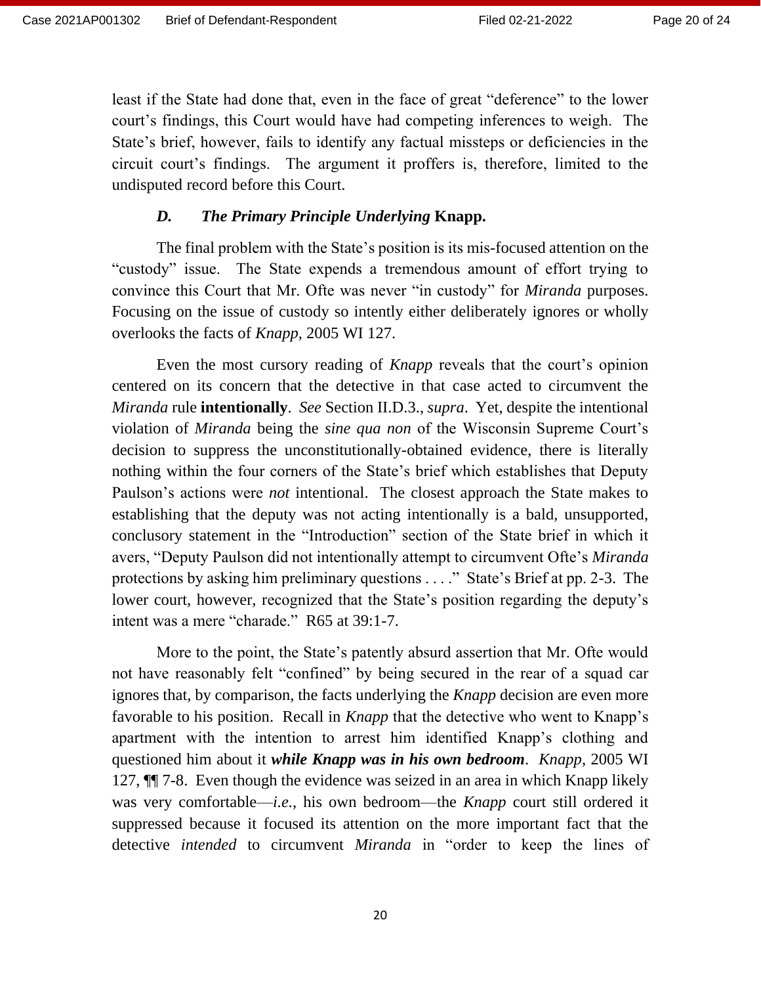least if the State had done that, even in the face of great "deference" to the lower court's findings, this Court would have had competing inferences to weigh. The State's brief, however, fails to identify any factual missteps or deficiencies in the circuit court's findings. The argument it proffers is, therefore, limited to the undisputed record before this Court.

### *D. The Primary Principle Underlying* **Knapp.**

The final problem with the State's position is its mis-focused attention on the "custody" issue. The State expends a tremendous amount of effort trying to convince this Court that Mr. Ofte was never "in custody" for *Miranda* purposes. Focusing on the issue of custody so intently either deliberately ignores or wholly overlooks the facts of *Knapp*, 2005 WI 127.

Even the most cursory reading of *Knapp* reveals that the court's opinion centered on its concern that the detective in that case acted to circumvent the *Miranda* rule **intentionally**. *See* Section II.D.3., *supra*. Yet, despite the intentional violation of *Miranda* being the *sine qua non* of the Wisconsin Supreme Court's decision to suppress the unconstitutionally-obtained evidence, there is literally nothing within the four corners of the State's brief which establishes that Deputy Paulson's actions were *not* intentional. The closest approach the State makes to establishing that the deputy was not acting intentionally is a bald, unsupported, conclusory statement in the "Introduction" section of the State brief in which it avers, "Deputy Paulson did not intentionally attempt to circumvent Ofte's *Miranda* protections by asking him preliminary questions . . . ." State's Brief at pp. 2-3. The lower court, however, recognized that the State's position regarding the deputy's intent was a mere "charade." R65 at 39:1-7.

More to the point, the State's patently absurd assertion that Mr. Ofte would not have reasonably felt "confined" by being secured in the rear of a squad car ignores that, by comparison, the facts underlying the *Knapp* decision are even more favorable to his position. Recall in *Knapp* that the detective who went to Knapp's apartment with the intention to arrest him identified Knapp's clothing and questioned him about it *while Knapp was in his own bedroom*. *Knapp*, 2005 WI 127, ¶¶ 7-8. Even though the evidence was seized in an area in which Knapp likely was very comfortable—*i.e.*, his own bedroom—the *Knapp* court still ordered it suppressed because it focused its attention on the more important fact that the detective *intended* to circumvent *Miranda* in "order to keep the lines of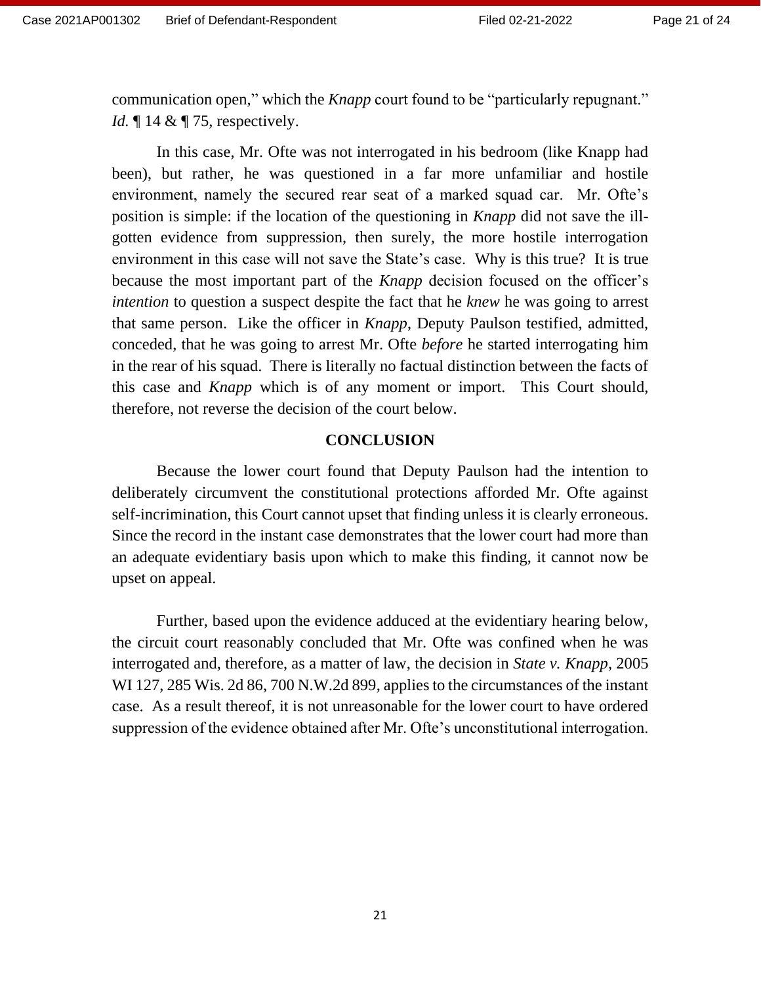communication open," which the *Knapp* court found to be "particularly repugnant." *Id.* 14 & 175, respectively.

In this case, Mr. Ofte was not interrogated in his bedroom (like Knapp had been), but rather, he was questioned in a far more unfamiliar and hostile environment, namely the secured rear seat of a marked squad car. Mr. Ofte's position is simple: if the location of the questioning in *Knapp* did not save the illgotten evidence from suppression, then surely, the more hostile interrogation environment in this case will not save the State's case. Why is this true? It is true because the most important part of the *Knapp* decision focused on the officer's *intention* to question a suspect despite the fact that he *knew* he was going to arrest that same person. Like the officer in *Knapp*, Deputy Paulson testified, admitted, conceded, that he was going to arrest Mr. Ofte *before* he started interrogating him in the rear of his squad. There is literally no factual distinction between the facts of this case and *Knapp* which is of any moment or import. This Court should, therefore, not reverse the decision of the court below.

### **CONCLUSION**

Because the lower court found that Deputy Paulson had the intention to deliberately circumvent the constitutional protections afforded Mr. Ofte against self-incrimination, this Court cannot upset that finding unless it is clearly erroneous. Since the record in the instant case demonstrates that the lower court had more than an adequate evidentiary basis upon which to make this finding, it cannot now be upset on appeal.

Further, based upon the evidence adduced at the evidentiary hearing below, the circuit court reasonably concluded that Mr. Ofte was confined when he was interrogated and, therefore, as a matter of law, the decision in *State v. Knapp*, 2005 WI 127, 285 Wis. 2d 86, 700 N.W.2d 899, applies to the circumstances of the instant case. As a result thereof, it is not unreasonable for the lower court to have ordered suppression of the evidence obtained after Mr. Ofte's unconstitutional interrogation.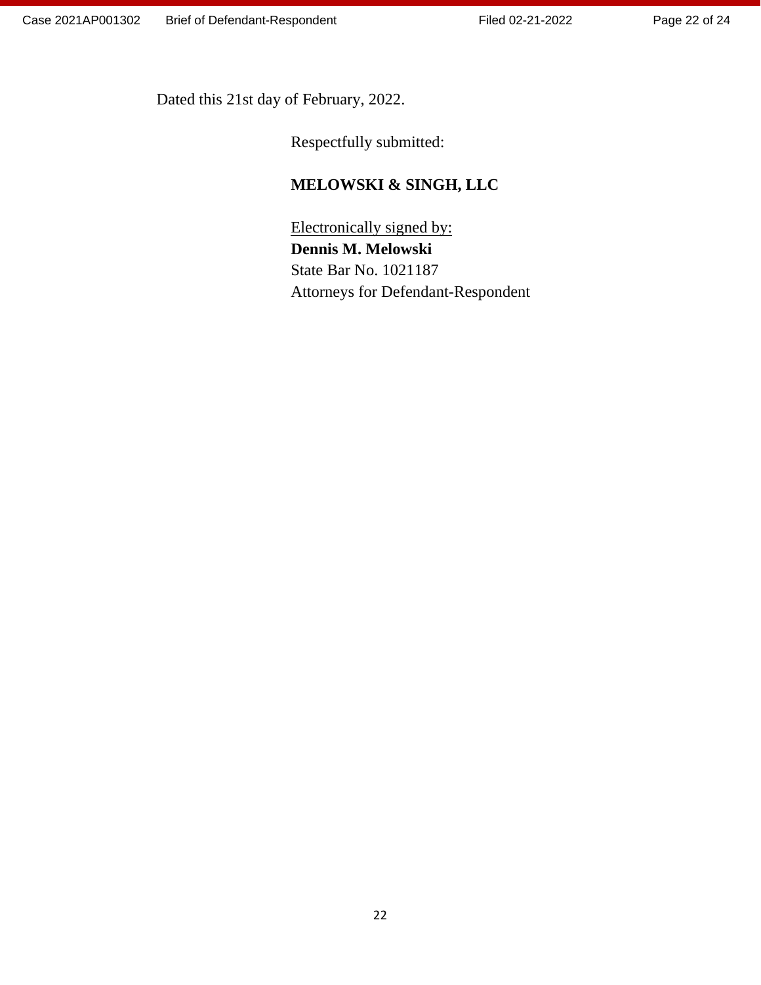Page 22 of 24

Dated this 21st day of February, 2022.

Respectfully submitted:

# **MELOWSKI & SINGH, LLC**

 Electronically signed by: **Dennis M. Melowski** State Bar No. 1021187 Attorneys for Defendant-Respondent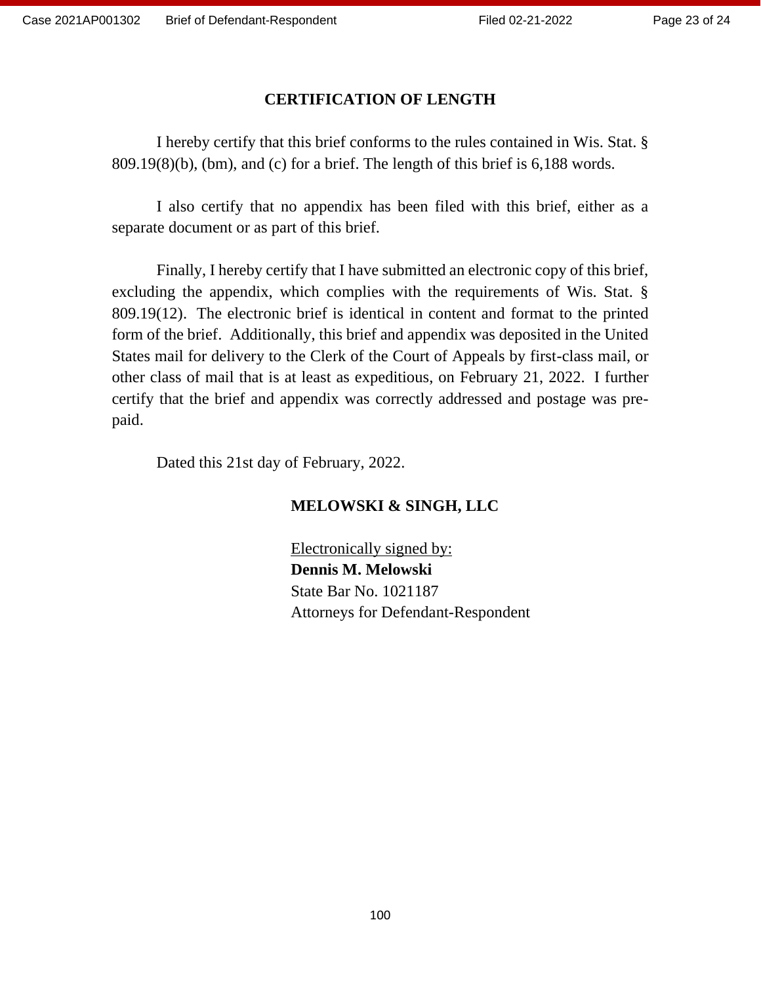### **CERTIFICATION OF LENGTH**

I hereby certify that this brief conforms to the rules contained in Wis. Stat. § 809.19(8)(b), (bm), and (c) for a brief. The length of this brief is 6,188 words.

I also certify that no appendix has been filed with this brief, either as a separate document or as part of this brief.

Finally, I hereby certify that I have submitted an electronic copy of this brief, excluding the appendix, which complies with the requirements of Wis. Stat. § 809.19(12). The electronic brief is identical in content and format to the printed form of the brief. Additionally, this brief and appendix was deposited in the United States mail for delivery to the Clerk of the Court of Appeals by first-class mail, or other class of mail that is at least as expeditious, on February 21, 2022. I further certify that the brief and appendix was correctly addressed and postage was prepaid.

Dated this 21st day of February, 2022.

### **MELOWSKI & SINGH, LLC**

Electronically signed by: **Dennis M. Melowski** State Bar No. 1021187 Attorneys for Defendant-Respondent